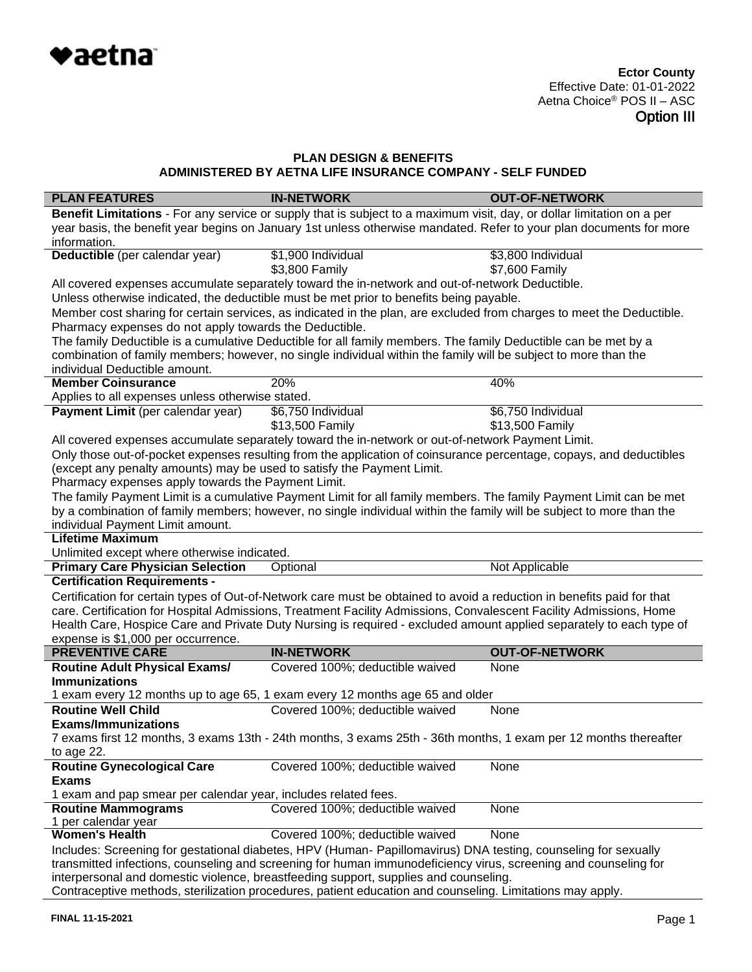

| <b>PLAN FEATURES</b>                                                                                                                                                                                                              | <b>IN-NETWORK</b>                                                                                                                                                                                                                          | <b>OUT-OF-NETWORK</b> |  |
|-----------------------------------------------------------------------------------------------------------------------------------------------------------------------------------------------------------------------------------|--------------------------------------------------------------------------------------------------------------------------------------------------------------------------------------------------------------------------------------------|-----------------------|--|
|                                                                                                                                                                                                                                   | Benefit Limitations - For any service or supply that is subject to a maximum visit, day, or dollar limitation on a per                                                                                                                     |                       |  |
|                                                                                                                                                                                                                                   | year basis, the benefit year begins on January 1st unless otherwise mandated. Refer to your plan documents for more                                                                                                                        |                       |  |
| information.                                                                                                                                                                                                                      |                                                                                                                                                                                                                                            |                       |  |
| Deductible (per calendar year)                                                                                                                                                                                                    | \$1,900 Individual                                                                                                                                                                                                                         | \$3,800 Individual    |  |
|                                                                                                                                                                                                                                   | \$3,800 Family                                                                                                                                                                                                                             | \$7,600 Family        |  |
|                                                                                                                                                                                                                                   | All covered expenses accumulate separately toward the in-network and out-of-network Deductible.                                                                                                                                            |                       |  |
|                                                                                                                                                                                                                                   | Unless otherwise indicated, the deductible must be met prior to benefits being payable.                                                                                                                                                    |                       |  |
|                                                                                                                                                                                                                                   | Member cost sharing for certain services, as indicated in the plan, are excluded from charges to meet the Deductible.                                                                                                                      |                       |  |
| Pharmacy expenses do not apply towards the Deductible.                                                                                                                                                                            |                                                                                                                                                                                                                                            |                       |  |
|                                                                                                                                                                                                                                   | The family Deductible is a cumulative Deductible for all family members. The family Deductible can be met by a                                                                                                                             |                       |  |
|                                                                                                                                                                                                                                   | combination of family members; however, no single individual within the family will be subject to more than the                                                                                                                            |                       |  |
| individual Deductible amount.                                                                                                                                                                                                     |                                                                                                                                                                                                                                            |                       |  |
| <b>Member Coinsurance</b>                                                                                                                                                                                                         | 20%                                                                                                                                                                                                                                        | 40%                   |  |
| Applies to all expenses unless otherwise stated.                                                                                                                                                                                  |                                                                                                                                                                                                                                            |                       |  |
| Payment Limit (per calendar year)                                                                                                                                                                                                 | \$6,750 Individual                                                                                                                                                                                                                         | \$6,750 Individual    |  |
|                                                                                                                                                                                                                                   | \$13,500 Family                                                                                                                                                                                                                            | \$13,500 Family       |  |
|                                                                                                                                                                                                                                   | All covered expenses accumulate separately toward the in-network or out-of-network Payment Limit.                                                                                                                                          |                       |  |
|                                                                                                                                                                                                                                   | Only those out-of-pocket expenses resulting from the application of coinsurance percentage, copays, and deductibles                                                                                                                        |                       |  |
| (except any penalty amounts) may be used to satisfy the Payment Limit.                                                                                                                                                            |                                                                                                                                                                                                                                            |                       |  |
| Pharmacy expenses apply towards the Payment Limit.                                                                                                                                                                                |                                                                                                                                                                                                                                            |                       |  |
|                                                                                                                                                                                                                                   | The family Payment Limit is a cumulative Payment Limit for all family members. The family Payment Limit can be met<br>by a combination of family members; however, no single individual within the family will be subject to more than the |                       |  |
| individual Payment Limit amount.                                                                                                                                                                                                  |                                                                                                                                                                                                                                            |                       |  |
| <b>Lifetime Maximum</b>                                                                                                                                                                                                           |                                                                                                                                                                                                                                            |                       |  |
| Unlimited except where otherwise indicated.                                                                                                                                                                                       |                                                                                                                                                                                                                                            |                       |  |
| <b>Primary Care Physician Selection</b>                                                                                                                                                                                           | Optional                                                                                                                                                                                                                                   | Not Applicable        |  |
| <b>Certification Requirements -</b>                                                                                                                                                                                               |                                                                                                                                                                                                                                            |                       |  |
|                                                                                                                                                                                                                                   | Certification for certain types of Out-of-Network care must be obtained to avoid a reduction in benefits paid for that                                                                                                                     |                       |  |
|                                                                                                                                                                                                                                   | care. Certification for Hospital Admissions, Treatment Facility Admissions, Convalescent Facility Admissions, Home                                                                                                                         |                       |  |
|                                                                                                                                                                                                                                   | Health Care, Hospice Care and Private Duty Nursing is required - excluded amount applied separately to each type of                                                                                                                        |                       |  |
| expense is \$1,000 per occurrence.                                                                                                                                                                                                |                                                                                                                                                                                                                                            |                       |  |
| <b>PREVENTIVE CARE</b>                                                                                                                                                                                                            | <b>IN-NETWORK</b>                                                                                                                                                                                                                          | <b>OUT-OF-NETWORK</b> |  |
| <b>Routine Adult Physical Exams/</b>                                                                                                                                                                                              | Covered 100%; deductible waived                                                                                                                                                                                                            | None                  |  |
| <b>Immunizations</b>                                                                                                                                                                                                              |                                                                                                                                                                                                                                            |                       |  |
|                                                                                                                                                                                                                                   | 1 exam every 12 months up to age 65, 1 exam every 12 months age 65 and older                                                                                                                                                               |                       |  |
| <b>Routine Well Child</b>                                                                                                                                                                                                         | Covered 100%; deductible waived                                                                                                                                                                                                            | None                  |  |
| <b>Exams/Immunizations</b>                                                                                                                                                                                                        |                                                                                                                                                                                                                                            |                       |  |
| 7 exams first 12 months, 3 exams 13th - 24th months, 3 exams 25th - 36th months, 1 exam per 12 months thereafter                                                                                                                  |                                                                                                                                                                                                                                            |                       |  |
| to age 22.                                                                                                                                                                                                                        |                                                                                                                                                                                                                                            |                       |  |
| <b>Routine Gynecological Care</b>                                                                                                                                                                                                 | Covered 100%; deductible waived                                                                                                                                                                                                            | None                  |  |
| <b>Exams</b>                                                                                                                                                                                                                      |                                                                                                                                                                                                                                            |                       |  |
| 1 exam and pap smear per calendar year, includes related fees.                                                                                                                                                                    |                                                                                                                                                                                                                                            |                       |  |
| <b>Routine Mammograms</b>                                                                                                                                                                                                         | Covered 100%; deductible waived                                                                                                                                                                                                            | None                  |  |
| 1 per calendar year<br><b>Women's Health</b>                                                                                                                                                                                      | Covered 100%; deductible waived                                                                                                                                                                                                            | None                  |  |
|                                                                                                                                                                                                                                   |                                                                                                                                                                                                                                            |                       |  |
| Includes: Screening for gestational diabetes, HPV (Human- Papillomavirus) DNA testing, counseling for sexually<br>transmitted infections, counseling and screening for human immunodeficiency virus, screening and counseling for |                                                                                                                                                                                                                                            |                       |  |
|                                                                                                                                                                                                                                   | interpersonal and domestic violence, breastfeeding support, supplies and counseling.                                                                                                                                                       |                       |  |
|                                                                                                                                                                                                                                   |                                                                                                                                                                                                                                            |                       |  |

Contraceptive methods, sterilization procedures, patient education and counseling. Limitations may apply.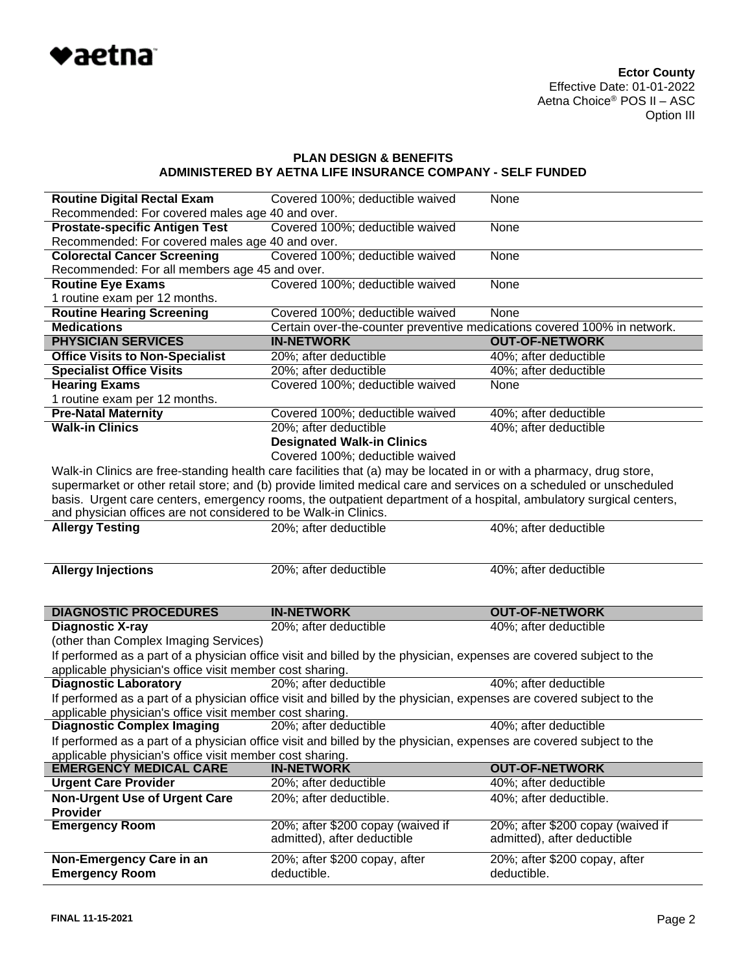

| <b>Routine Digital Rectal Exam</b>                              | Covered 100%; deductible waived                                                                                     | None                                                             |
|-----------------------------------------------------------------|---------------------------------------------------------------------------------------------------------------------|------------------------------------------------------------------|
| Recommended: For covered males age 40 and over.                 |                                                                                                                     |                                                                  |
| <b>Prostate-specific Antigen Test</b>                           | Covered 100%; deductible waived                                                                                     | None                                                             |
| Recommended: For covered males age 40 and over.                 |                                                                                                                     |                                                                  |
| <b>Colorectal Cancer Screening</b>                              | Covered 100%; deductible waived                                                                                     | <b>None</b>                                                      |
| Recommended: For all members age 45 and over.                   |                                                                                                                     |                                                                  |
| <b>Routine Eye Exams</b>                                        | Covered 100%; deductible waived                                                                                     | <b>None</b>                                                      |
| 1 routine exam per 12 months.                                   |                                                                                                                     |                                                                  |
| <b>Routine Hearing Screening</b>                                | Covered 100%; deductible waived                                                                                     | None                                                             |
| <b>Medications</b>                                              | Certain over-the-counter preventive medications covered 100% in network.                                            |                                                                  |
| <b>PHYSICIAN SERVICES</b>                                       | <b>IN-NETWORK</b>                                                                                                   | <b>OUT-OF-NETWORK</b>                                            |
| <b>Office Visits to Non-Specialist</b>                          | 20%; after deductible                                                                                               | 40%; after deductible                                            |
| <b>Specialist Office Visits</b>                                 | 20%; after deductible                                                                                               | 40%; after deductible                                            |
| <b>Hearing Exams</b>                                            | Covered 100%; deductible waived                                                                                     | <b>None</b>                                                      |
| 1 routine exam per 12 months.                                   |                                                                                                                     |                                                                  |
| <b>Pre-Natal Maternity</b>                                      | Covered 100%; deductible waived                                                                                     | 40%; after deductible                                            |
| <b>Walk-in Clinics</b>                                          | 20%; after deductible                                                                                               | 40%; after deductible                                            |
|                                                                 | <b>Designated Walk-in Clinics</b>                                                                                   |                                                                  |
|                                                                 | Covered 100%; deductible waived                                                                                     |                                                                  |
|                                                                 | Walk-in Clinics are free-standing health care facilities that (a) may be located in or with a pharmacy, drug store, |                                                                  |
|                                                                 | supermarket or other retail store; and (b) provide limited medical care and services on a scheduled or unscheduled  |                                                                  |
|                                                                 | basis. Urgent care centers, emergency rooms, the outpatient department of a hospital, ambulatory surgical centers,  |                                                                  |
| and physician offices are not considered to be Walk-in Clinics. |                                                                                                                     |                                                                  |
| <b>Allergy Testing</b>                                          | 20%; after deductible                                                                                               | 40%; after deductible                                            |
|                                                                 |                                                                                                                     |                                                                  |
|                                                                 |                                                                                                                     |                                                                  |
|                                                                 |                                                                                                                     |                                                                  |
|                                                                 |                                                                                                                     |                                                                  |
| <b>Allergy Injections</b>                                       | 20%; after deductible                                                                                               | 40%; after deductible                                            |
|                                                                 |                                                                                                                     |                                                                  |
|                                                                 | <b>IN-NETWORK</b>                                                                                                   | <b>OUT-OF-NETWORK</b>                                            |
| <b>DIAGNOSTIC PROCEDURES</b>                                    |                                                                                                                     |                                                                  |
| <b>Diagnostic X-ray</b>                                         | 20%; after deductible                                                                                               | 40%; after deductible                                            |
| (other than Complex Imaging Services)                           |                                                                                                                     |                                                                  |
|                                                                 | If performed as a part of a physician office visit and billed by the physician, expenses are covered subject to the |                                                                  |
| applicable physician's office visit member cost sharing.        |                                                                                                                     |                                                                  |
| <b>Diagnostic Laboratory</b>                                    | 20%; after deductible                                                                                               | 40%; after deductible                                            |
|                                                                 | If performed as a part of a physician office visit and billed by the physician, expenses are covered subject to the |                                                                  |
| applicable physician's office visit member cost sharing.        |                                                                                                                     |                                                                  |
| <b>Diagnostic Complex Imaging</b>                               | 20%; after deductible                                                                                               | 40%; after deductible                                            |
|                                                                 | If performed as a part of a physician office visit and billed by the physician, expenses are covered subject to the |                                                                  |
| applicable physician's office visit member cost sharing.        | <b>IN-NETWORK</b>                                                                                                   |                                                                  |
| <b>EMERGENCY MEDICAL CARE</b>                                   |                                                                                                                     | <b>OUT-OF-NETWORK</b>                                            |
| <b>Urgent Care Provider</b>                                     | 20%; after deductible                                                                                               | 40%; after deductible                                            |
| <b>Non-Urgent Use of Urgent Care</b>                            | 20%; after deductible.                                                                                              | 40%; after deductible.                                           |
| <b>Provider</b>                                                 |                                                                                                                     |                                                                  |
| <b>Emergency Room</b>                                           | 20%; after \$200 copay (waived if<br>admitted), after deductible                                                    | 20%; after \$200 copay (waived if<br>admitted), after deductible |
|                                                                 |                                                                                                                     |                                                                  |
| Non-Emergency Care in an<br><b>Emergency Room</b>               | 20%; after \$200 copay, after<br>deductible.                                                                        | 20%; after \$200 copay, after<br>deductible.                     |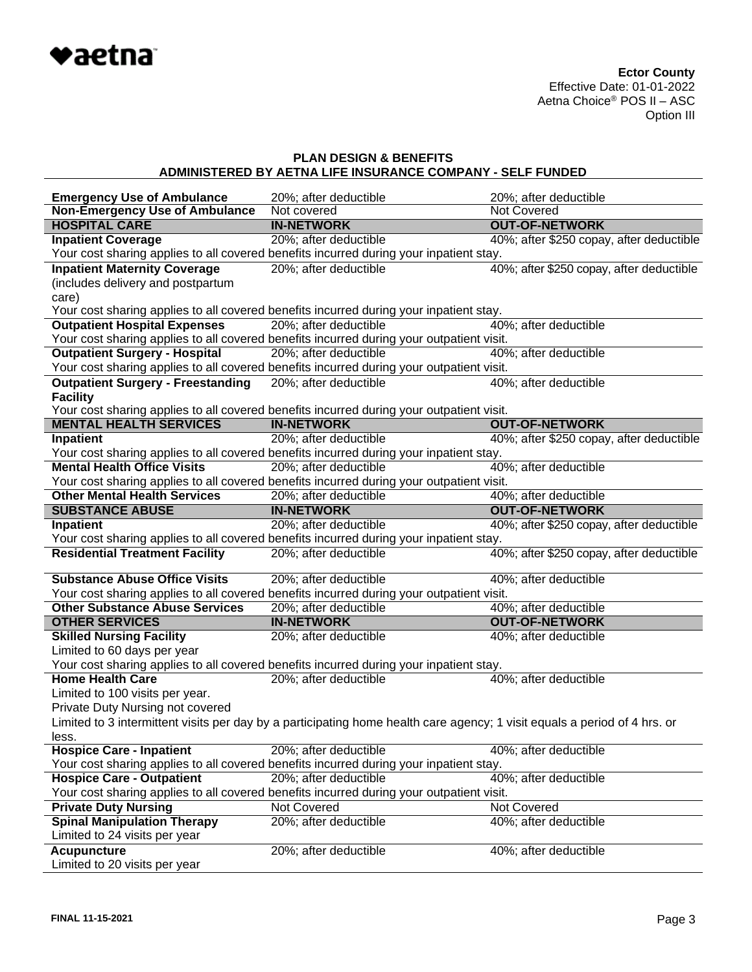

| <b>Emergency Use of Ambulance</b>        | 20%; after deductible                                                                                                     | 20%; after deductible                    |
|------------------------------------------|---------------------------------------------------------------------------------------------------------------------------|------------------------------------------|
| <b>Non-Emergency Use of Ambulance</b>    | Not covered                                                                                                               | Not Covered                              |
| <b>HOSPITAL CARE</b>                     | <b>IN-NETWORK</b>                                                                                                         | <b>OUT-OF-NETWORK</b>                    |
| <b>Inpatient Coverage</b>                | 20%; after deductible                                                                                                     | 40%; after \$250 copay, after deductible |
|                                          | Your cost sharing applies to all covered benefits incurred during your inpatient stay.                                    |                                          |
| <b>Inpatient Maternity Coverage</b>      | 20%; after deductible                                                                                                     | 40%; after \$250 copay, after deductible |
| (includes delivery and postpartum        |                                                                                                                           |                                          |
| care)                                    |                                                                                                                           |                                          |
|                                          | Your cost sharing applies to all covered benefits incurred during your inpatient stay.                                    |                                          |
| <b>Outpatient Hospital Expenses</b>      | 20%; after deductible                                                                                                     | 40%; after deductible                    |
|                                          | Your cost sharing applies to all covered benefits incurred during your outpatient visit.                                  |                                          |
| <b>Outpatient Surgery - Hospital</b>     | 20%; after deductible                                                                                                     | 40%; after deductible                    |
|                                          | Your cost sharing applies to all covered benefits incurred during your outpatient visit.                                  |                                          |
| <b>Outpatient Surgery - Freestanding</b> | 20%; after deductible                                                                                                     | 40%; after deductible                    |
| <b>Facility</b>                          |                                                                                                                           |                                          |
|                                          | Your cost sharing applies to all covered benefits incurred during your outpatient visit.                                  |                                          |
| <b>MENTAL HEALTH SERVICES</b>            | <b>IN-NETWORK</b>                                                                                                         | <b>OUT-OF-NETWORK</b>                    |
| <b>Inpatient</b>                         | 20%; after deductible                                                                                                     | 40%; after \$250 copay, after deductible |
|                                          | Your cost sharing applies to all covered benefits incurred during your inpatient stay.                                    |                                          |
| <b>Mental Health Office Visits</b>       | 20%; after deductible                                                                                                     | 40%; after deductible                    |
|                                          | Your cost sharing applies to all covered benefits incurred during your outpatient visit.                                  |                                          |
| <b>Other Mental Health Services</b>      | 20%; after deductible                                                                                                     | 40%; after deductible                    |
| <b>SUBSTANCE ABUSE</b>                   | <b>IN-NETWORK</b>                                                                                                         | <b>OUT-OF-NETWORK</b>                    |
| <b>Inpatient</b>                         | 20%; after deductible                                                                                                     | 40%; after \$250 copay, after deductible |
|                                          | Your cost sharing applies to all covered benefits incurred during your inpatient stay.                                    |                                          |
| <b>Residential Treatment Facility</b>    | 20%; after deductible                                                                                                     | 40%; after \$250 copay, after deductible |
| <b>Substance Abuse Office Visits</b>     | 20%; after deductible                                                                                                     | 40%; after deductible                    |
|                                          | Your cost sharing applies to all covered benefits incurred during your outpatient visit.                                  |                                          |
| <b>Other Substance Abuse Services</b>    | 20%; after deductible                                                                                                     | 40%; after deductible                    |
| <b>OTHER SERVICES</b>                    | <b>IN-NETWORK</b>                                                                                                         | <b>OUT-OF-NETWORK</b>                    |
| <b>Skilled Nursing Facility</b>          | 20%; after deductible                                                                                                     | 40%; after deductible                    |
| Limited to 60 days per year              |                                                                                                                           |                                          |
|                                          | Your cost sharing applies to all covered benefits incurred during your inpatient stay.                                    |                                          |
| <b>Home Health Care</b>                  | 20%; after deductible                                                                                                     | 40%; after deductible                    |
| Limited to 100 visits per year.          |                                                                                                                           |                                          |
| Private Duty Nursing not covered         |                                                                                                                           |                                          |
|                                          | Limited to 3 intermittent visits per day by a participating home health care agency; 1 visit equals a period of 4 hrs. or |                                          |
| less.                                    |                                                                                                                           |                                          |
| <b>Hospice Care - Inpatient</b>          | 20%; after deductible                                                                                                     | 40%; after deductible                    |
|                                          | Your cost sharing applies to all covered benefits incurred during your inpatient stay.                                    |                                          |
| <b>Hospice Care - Outpatient</b>         | 20%; after deductible                                                                                                     | 40%; after deductible                    |
|                                          | Your cost sharing applies to all covered benefits incurred during your outpatient visit.                                  |                                          |
| <b>Private Duty Nursing</b>              | Not Covered                                                                                                               | Not Covered                              |
| <b>Spinal Manipulation Therapy</b>       | 20%; after deductible                                                                                                     | 40%; after deductible                    |
| Limited to 24 visits per year            |                                                                                                                           |                                          |
| <b>Acupuncture</b>                       | 20%; after deductible                                                                                                     | 40%; after deductible                    |
| Limited to 20 visits per year            |                                                                                                                           |                                          |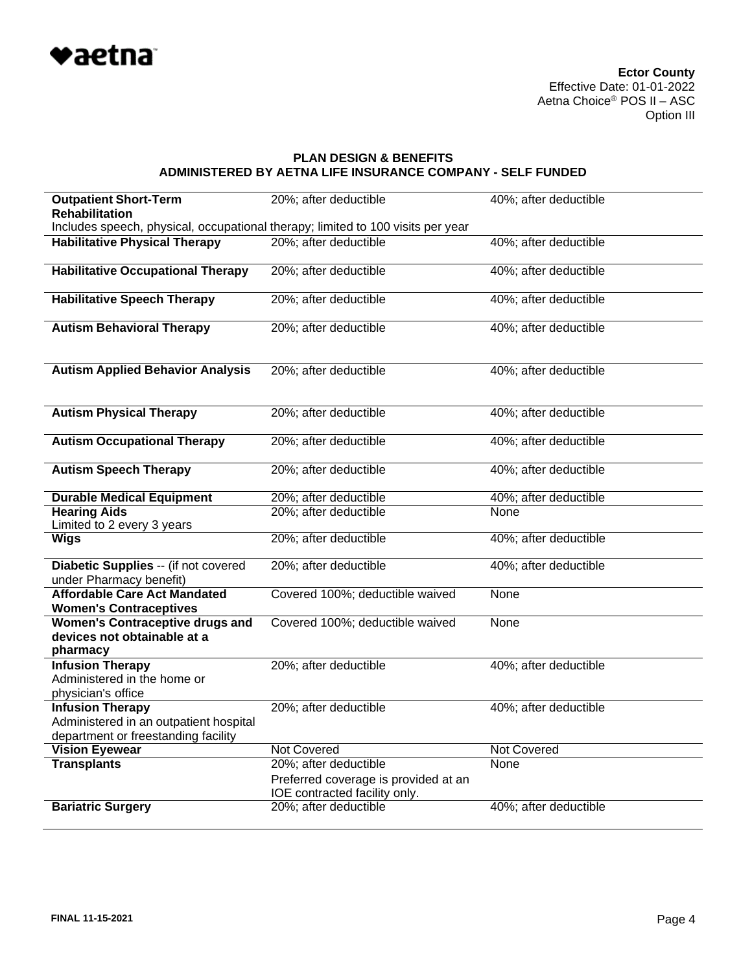

| <b>Outpatient Short-Term</b><br><b>Rehabilitation</b>                                                    | 20%; after deductible                                                 | 40%; after deductible |
|----------------------------------------------------------------------------------------------------------|-----------------------------------------------------------------------|-----------------------|
| Includes speech, physical, occupational therapy; limited to 100 visits per year                          |                                                                       |                       |
| <b>Habilitative Physical Therapy</b>                                                                     | 20%; after deductible                                                 | 40%; after deductible |
| <b>Habilitative Occupational Therapy</b>                                                                 | 20%; after deductible                                                 | 40%; after deductible |
| <b>Habilitative Speech Therapy</b>                                                                       | 20%; after deductible                                                 | 40%; after deductible |
| <b>Autism Behavioral Therapy</b>                                                                         | 20%; after deductible                                                 | 40%; after deductible |
| <b>Autism Applied Behavior Analysis</b>                                                                  | 20%; after deductible                                                 | 40%; after deductible |
| <b>Autism Physical Therapy</b>                                                                           | 20%; after deductible                                                 | 40%; after deductible |
| <b>Autism Occupational Therapy</b>                                                                       | 20%; after deductible                                                 | 40%; after deductible |
| <b>Autism Speech Therapy</b>                                                                             | 20%; after deductible                                                 | 40%; after deductible |
| <b>Durable Medical Equipment</b>                                                                         | 20%; after deductible                                                 | 40%; after deductible |
| <b>Hearing Aids</b>                                                                                      | 20%; after deductible                                                 | None                  |
| Limited to 2 every 3 years                                                                               |                                                                       |                       |
| <b>Wigs</b>                                                                                              | 20%; after deductible                                                 | 40%; after deductible |
| Diabetic Supplies -- (if not covered<br>under Pharmacy benefit)                                          | 20%; after deductible                                                 | 40%; after deductible |
| <b>Affordable Care Act Mandated</b><br><b>Women's Contraceptives</b>                                     | Covered 100%; deductible waived                                       | None                  |
| <b>Women's Contraceptive drugs and</b><br>devices not obtainable at a<br>pharmacy                        | Covered 100%; deductible waived                                       | None                  |
| <b>Infusion Therapy</b><br>Administered in the home or<br>physician's office                             | 20%; after deductible                                                 | 40%; after deductible |
| <b>Infusion Therapy</b><br>Administered in an outpatient hospital<br>department or freestanding facility | 20%; after deductible                                                 | 40%; after deductible |
| <b>Vision Eyewear</b>                                                                                    | <b>Not Covered</b>                                                    | <b>Not Covered</b>    |
| <b>Transplants</b>                                                                                       | 20%; after deductible                                                 | None                  |
|                                                                                                          | Preferred coverage is provided at an<br>IOE contracted facility only. |                       |
| <b>Bariatric Surgery</b>                                                                                 | 20%; after deductible                                                 | 40%; after deductible |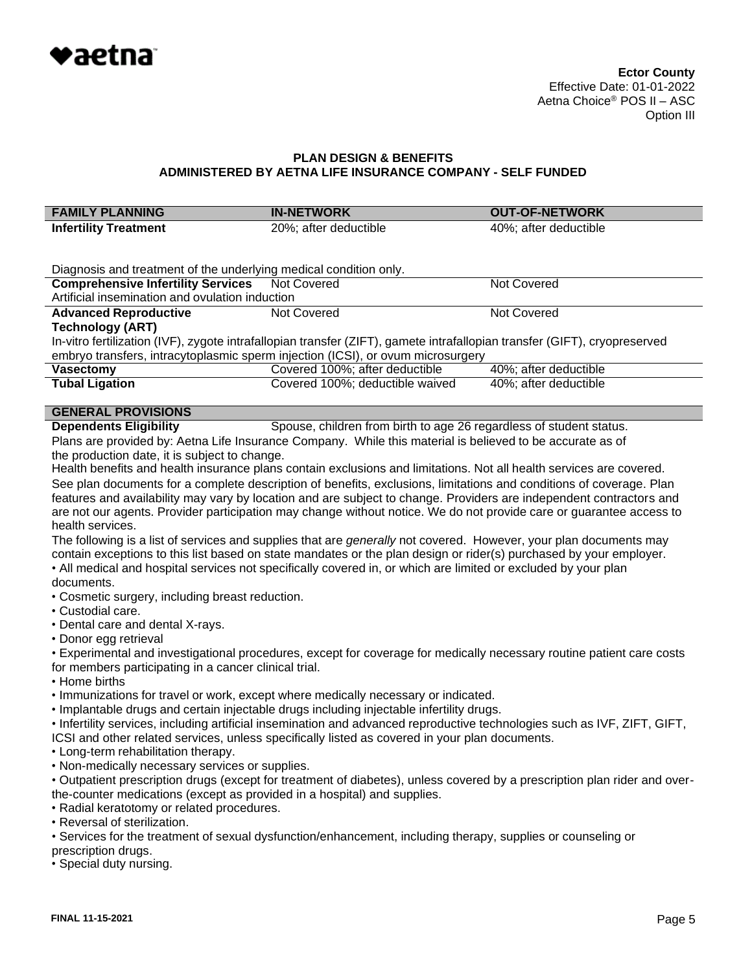

| <b>FAMILY PLANNING</b>                                                                                                                                                                                | <b>IN-NETWORK</b>                                                                                                                                                                                                                          | <b>OUT-OF-NETWORK</b> |  |  |
|-------------------------------------------------------------------------------------------------------------------------------------------------------------------------------------------------------|--------------------------------------------------------------------------------------------------------------------------------------------------------------------------------------------------------------------------------------------|-----------------------|--|--|
| <b>Infertility Treatment</b>                                                                                                                                                                          | 20%; after deductible                                                                                                                                                                                                                      | 40%; after deductible |  |  |
|                                                                                                                                                                                                       |                                                                                                                                                                                                                                            |                       |  |  |
| Diagnosis and treatment of the underlying medical condition only.                                                                                                                                     |                                                                                                                                                                                                                                            |                       |  |  |
| <b>Comprehensive Infertility Services</b>                                                                                                                                                             | <b>Not Covered</b>                                                                                                                                                                                                                         | <b>Not Covered</b>    |  |  |
| Artificial insemination and ovulation induction                                                                                                                                                       |                                                                                                                                                                                                                                            |                       |  |  |
| <b>Advanced Reproductive</b><br><b>Technology (ART)</b>                                                                                                                                               | Not Covered                                                                                                                                                                                                                                | Not Covered           |  |  |
|                                                                                                                                                                                                       | In-vitro fertilization (IVF), zygote intrafallopian transfer (ZIFT), gamete intrafallopian transfer (GIFT), cryopreserved                                                                                                                  |                       |  |  |
|                                                                                                                                                                                                       | embryo transfers, intracytoplasmic sperm injection (ICSI), or ovum microsurgery                                                                                                                                                            |                       |  |  |
| <b>Vasectomy</b>                                                                                                                                                                                      | Covered 100%; after deductible                                                                                                                                                                                                             | 40%; after deductible |  |  |
| <b>Tubal Ligation</b>                                                                                                                                                                                 | Covered 100%; deductible waived                                                                                                                                                                                                            | 40%; after deductible |  |  |
| <b>GENERAL PROVISIONS</b>                                                                                                                                                                             |                                                                                                                                                                                                                                            |                       |  |  |
| <b>Dependents Eligibility</b>                                                                                                                                                                         | Spouse, children from birth to age 26 regardless of student status.                                                                                                                                                                        |                       |  |  |
|                                                                                                                                                                                                       | Plans are provided by: Aetna Life Insurance Company. While this material is believed to be accurate as of                                                                                                                                  |                       |  |  |
| the production date, it is subject to change.                                                                                                                                                         |                                                                                                                                                                                                                                            |                       |  |  |
|                                                                                                                                                                                                       | Health benefits and health insurance plans contain exclusions and limitations. Not all health services are covered.                                                                                                                        |                       |  |  |
|                                                                                                                                                                                                       | See plan documents for a complete description of benefits, exclusions, limitations and conditions of coverage. Plan<br>features and availability may vary by location and are subject to change. Providers are independent contractors and |                       |  |  |
|                                                                                                                                                                                                       |                                                                                                                                                                                                                                            |                       |  |  |
| are not our agents. Provider participation may change without notice. We do not provide care or guarantee access to<br>health services.                                                               |                                                                                                                                                                                                                                            |                       |  |  |
| The following is a list of services and supplies that are <i>generally</i> not covered. However, your plan documents may                                                                              |                                                                                                                                                                                                                                            |                       |  |  |
|                                                                                                                                                                                                       | contain exceptions to this list based on state mandates or the plan design or rider(s) purchased by your employer.                                                                                                                         |                       |  |  |
| . All medical and hospital services not specifically covered in, or which are limited or excluded by your plan                                                                                        |                                                                                                                                                                                                                                            |                       |  |  |
| documents.<br>• Cosmetic surgery, including breast reduction.                                                                                                                                         |                                                                                                                                                                                                                                            |                       |  |  |
| • Custodial care.                                                                                                                                                                                     |                                                                                                                                                                                                                                            |                       |  |  |
| • Dental care and dental X-rays.                                                                                                                                                                      |                                                                                                                                                                                                                                            |                       |  |  |
| • Donor egg retrieval                                                                                                                                                                                 |                                                                                                                                                                                                                                            |                       |  |  |
| • Experimental and investigational procedures, except for coverage for medically necessary routine patient care costs                                                                                 |                                                                                                                                                                                                                                            |                       |  |  |
| for members participating in a cancer clinical trial.                                                                                                                                                 |                                                                                                                                                                                                                                            |                       |  |  |
| • Home births<br>. Immunizations for travel or work, except where medically necessary or indicated.                                                                                                   |                                                                                                                                                                                                                                            |                       |  |  |
| . Implantable drugs and certain injectable drugs including injectable infertility drugs.                                                                                                              |                                                                                                                                                                                                                                            |                       |  |  |
| . Infertility services, including artificial insemination and advanced reproductive technologies such as IVF, ZIFT, GIFT,                                                                             |                                                                                                                                                                                                                                            |                       |  |  |
| ICSI and other related services, unless specifically listed as covered in your plan documents.                                                                                                        |                                                                                                                                                                                                                                            |                       |  |  |
| • Long-term rehabilitation therapy.                                                                                                                                                                   |                                                                                                                                                                                                                                            |                       |  |  |
| . Non-medically necessary services or supplies.                                                                                                                                                       |                                                                                                                                                                                                                                            |                       |  |  |
| • Outpatient prescription drugs (except for treatment of diabetes), unless covered by a prescription plan rider and over-<br>the-counter medications (except as provided in a hospital) and supplies. |                                                                                                                                                                                                                                            |                       |  |  |
| • Radial keratotomy or related procedures.                                                                                                                                                            |                                                                                                                                                                                                                                            |                       |  |  |
| • Reversal of sterilization.                                                                                                                                                                          |                                                                                                                                                                                                                                            |                       |  |  |
|                                                                                                                                                                                                       | • Services for the treatment of sexual dysfunction/enhancement, including therapy, supplies or counseling or                                                                                                                               |                       |  |  |
| prescription drugs.<br>• Special duty nursing.                                                                                                                                                        |                                                                                                                                                                                                                                            |                       |  |  |
|                                                                                                                                                                                                       |                                                                                                                                                                                                                                            |                       |  |  |